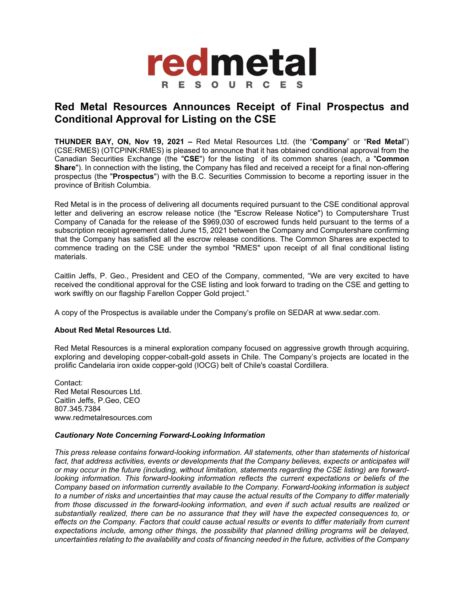

## **Red Metal Resources Announces Receipt of Final Prospectus and Conditional Approval for Listing on the CSE**

**THUNDER BAY, ON, Nov 19, 2021 –** Red Metal Resources Ltd. (the "**Company**" or "**Red Metal**") (CSE:RMES) (OTCPINK:RMES) is pleased to announce that it has obtained conditional approval from the Canadian Securities Exchange (the "**CSE**") for the listing of its common shares (each, a "**Common Share**"). In connection with the listing, the Company has filed and received a receipt for a final non-offering prospectus (the "**Prospectus**") with the B.C. Securities Commission to become a reporting issuer in the province of British Columbia.

Red Metal is in the process of delivering all documents required pursuant to the CSE conditional approval letter and delivering an escrow release notice (the "Escrow Release Notice") to Computershare Trust Company of Canada for the release of the \$969,030 of escrowed funds held pursuant to the terms of a subscription receipt agreement dated June 15, 2021 between the Company and Computershare confirming that the Company has satisfied all the escrow release conditions. The Common Shares are expected to commence trading on the CSE under the symbol "RMES" upon receipt of all final conditional listing materials.

Caitlin Jeffs, P. Geo., President and CEO of the Company, commented, "We are very excited to have received the conditional approval for the CSE listing and look forward to trading on the CSE and getting to work swiftly on our flagship Farellon Copper Gold project."

A copy of the Prospectus is available under the Company's profile on SEDAR at www.sedar.com.

## **About Red Metal Resources Ltd.**

Red Metal Resources is a mineral exploration company focused on aggressive growth through acquiring, exploring and developing copper-cobalt-gold assets in Chile. The Company's projects are located in the prolific Candelaria iron oxide copper-gold (IOCG) belt of Chile's coastal Cordillera.

Contact: Red Metal Resources Ltd. Caitlin Jeffs, P.Geo, CEO 807.345.7384 www.redmetalresources.com

## *Cautionary Note Concerning Forward-Looking Information*

*This press release contains forward-looking information. All statements, other than statements of historical*  fact, that address activities, events or developments that the Company believes, expects or anticipates will *or may occur in the future (including, without limitation, statements regarding the CSE listing) are forwardlooking information. This forward-looking information reflects the current expectations or beliefs of the Company based on information currently available to the Company. Forward-looking information is subject to a number of risks and uncertainties that may cause the actual results of the Company to differ materially from those discussed in the forward-looking information, and even if such actual results are realized or substantially realized, there can be no assurance that they will have the expected consequences to, or effects on the Company. Factors that could cause actual results or events to differ materially from current expectations include, among other things, the possibility that planned drilling programs will be delayed, uncertainties relating to the availability and costs of financing needed in the future, activities of the Company*